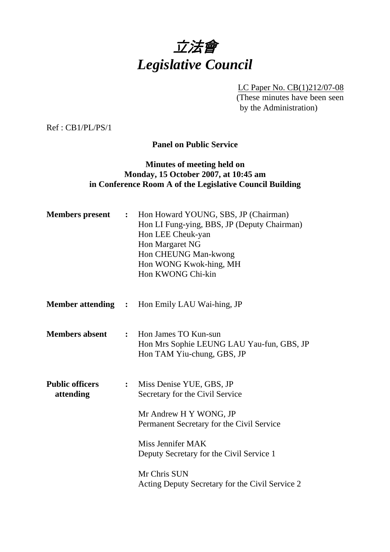

LC Paper No. CB(1)212/07-08 (These minutes have been seen by the Administration)

Ref : CB1/PL/PS/1

**Panel on Public Service** 

### **Minutes of meeting held on Monday, 15 October 2007, at 10:45 am in Conference Room A of the Legislative Council Building**

| <b>Members</b> present              | $\ddot{\bullet}$ | Hon Howard YOUNG, SBS, JP (Chairman)<br>Hon LI Fung-ying, BBS, JP (Deputy Chairman)<br>Hon LEE Cheuk-yan<br>Hon Margaret NG<br>Hon CHEUNG Man-kwong<br>Hon WONG Kwok-hing, MH<br>Hon KWONG Chi-kin |
|-------------------------------------|------------------|----------------------------------------------------------------------------------------------------------------------------------------------------------------------------------------------------|
|                                     |                  | <b>Member attending :</b> Hon Emily LAU Wai-hing, JP                                                                                                                                               |
| <b>Members absent</b>               | $\ddot{\cdot}$   | Hon James TO Kun-sun<br>Hon Mrs Sophie LEUNG LAU Yau-fun, GBS, JP<br>Hon TAM Yiu-chung, GBS, JP                                                                                                    |
| <b>Public officers</b><br>attending | $\ddot{\bullet}$ | Miss Denise YUE, GBS, JP<br>Secretary for the Civil Service<br>Mr Andrew H Y WONG, JP<br>Permanent Secretary for the Civil Service                                                                 |
|                                     |                  | Miss Jennifer MAK<br>Deputy Secretary for the Civil Service 1                                                                                                                                      |
|                                     |                  | Mr Chris SUN<br>Acting Deputy Secretary for the Civil Service 2                                                                                                                                    |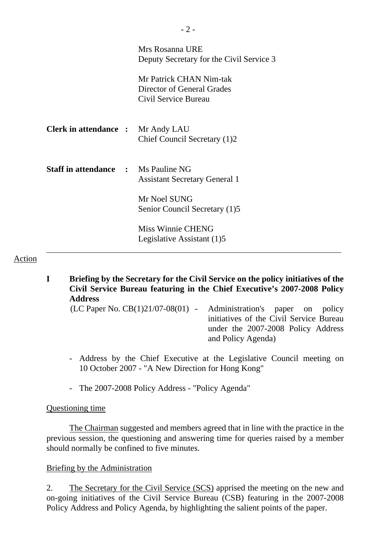|                                            | Mrs Rosanna URE<br>Deputy Secretary for the Civil Service 3                   |
|--------------------------------------------|-------------------------------------------------------------------------------|
|                                            | Mr Patrick CHAN Nim-tak<br>Director of General Grades<br>Civil Service Bureau |
| <b>Clerk in attendance :</b> Mr Andy LAU   | Chief Council Secretary (1)2                                                  |
| <b>Staff in attendance : Ms Pauline NG</b> | <b>Assistant Secretary General 1</b>                                          |
|                                            | Mr Noel SUNG<br>Senior Council Secretary (1)5                                 |
|                                            | <b>Miss Winnie CHENG</b><br>Legislative Assistant (1)5                        |

### Action

- **I Briefing by the Secretary for the Civil Service on the policy initiatives of the Civil Service Bureau featuring in the Chief Executive's 2007-2008 Policy Address** 
	- (LC Paper No. CB(1)21/07-08(01) Administration's paper on policy initiatives of the Civil Service Bureau under the 2007-2008 Policy Address and Policy Agenda)
	- Address by the Chief Executive at the Legislative Council meeting on 10 October 2007 - "A New Direction for Hong Kong"
	- The 2007-2008 Policy Address "Policy Agenda"

#### Questioning time

 The Chairman suggested and members agreed that in line with the practice in the previous session, the questioning and answering time for queries raised by a member should normally be confined to five minutes.

### Briefing by the Administration

2. The Secretary for the Civil Service (SCS) apprised the meeting on the new and on-going initiatives of the Civil Service Bureau (CSB) featuring in the 2007-2008 Policy Address and Policy Agenda, by highlighting the salient points of the paper.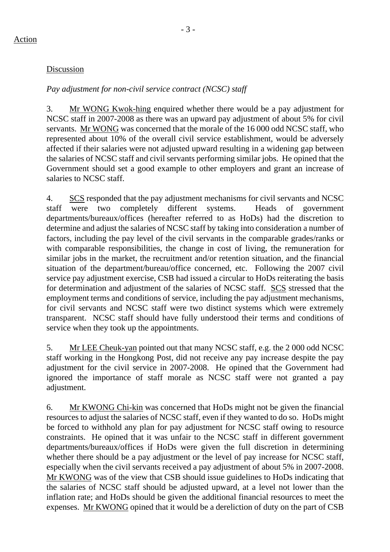### - 3 -

### Discussion

#### *Pay adjustment for non-civil service contract (NCSC) staff*

3. Mr WONG Kwok-hing enquired whether there would be a pay adjustment for NCSC staff in 2007-2008 as there was an upward pay adjustment of about 5% for civil servants. Mr WONG was concerned that the morale of the 16 000 odd NCSC staff, who represented about 10% of the overall civil service establishment, would be adversely affected if their salaries were not adjusted upward resulting in a widening gap between the salaries of NCSC staff and civil servants performing similar jobs. He opined that the Government should set a good example to other employers and grant an increase of salaries to NCSC staff.

4. SCS responded that the pay adjustment mechanisms for civil servants and NCSC staff were two completely different systems. Heads of government departments/bureaux/offices (hereafter referred to as HoDs) had the discretion to determine and adjust the salaries of NCSC staff by taking into consideration a number of factors, including the pay level of the civil servants in the comparable grades/ranks or with comparable responsibilities, the change in cost of living, the remuneration for similar jobs in the market, the recruitment and/or retention situation, and the financial situation of the department/bureau/office concerned, etc. Following the 2007 civil service pay adjustment exercise, CSB had issued a circular to HoDs reiterating the basis for determination and adjustment of the salaries of NCSC staff. SCS stressed that the employment terms and conditions of service, including the pay adjustment mechanisms, for civil servants and NCSC staff were two distinct systems which were extremely transparent. NCSC staff should have fully understood their terms and conditions of service when they took up the appointments.

5. Mr LEE Cheuk-yan pointed out that many NCSC staff, e.g. the 2 000 odd NCSC staff working in the Hongkong Post, did not receive any pay increase despite the pay adjustment for the civil service in 2007-2008. He opined that the Government had ignored the importance of staff morale as NCSC staff were not granted a pay adjustment.

6. Mr KWONG Chi-kin was concerned that HoDs might not be given the financial resources to adjust the salaries of NCSC staff, even if they wanted to do so. HoDs might be forced to withhold any plan for pay adjustment for NCSC staff owing to resource constraints. He opined that it was unfair to the NCSC staff in different government departments/bureaux/offices if HoDs were given the full discretion in determining whether there should be a pay adjustment or the level of pay increase for NCSC staff, especially when the civil servants received a pay adjustment of about 5% in 2007-2008. Mr KWONG was of the view that CSB should issue guidelines to HoDs indicating that the salaries of NCSC staff should be adjusted upward, at a level not lower than the inflation rate; and HoDs should be given the additional financial resources to meet the expenses. Mr KWONG opined that it would be a dereliction of duty on the part of CSB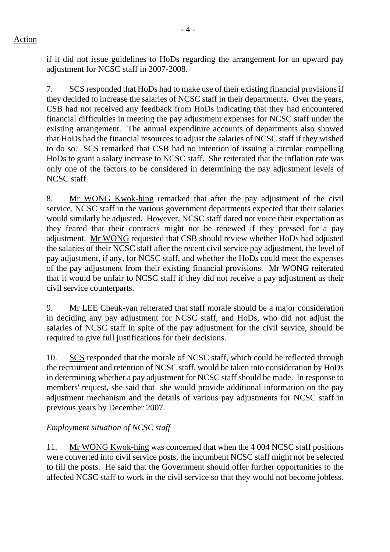if it did not issue guidelines to HoDs regarding the arrangement for an upward pay adjustment for NCSC staff in 2007-2008.

7. SCS responded that HoDs had to make use of their existing financial provisions if they decided to increase the salaries of NCSC staff in their departments. Over the years, CSB had not received any feedback from HoDs indicating that they had encountered financial difficulties in meeting the pay adjustment expenses for NCSC staff under the existing arrangement. The annual expenditure accounts of departments also showed that HoDs had the financial resources to adjust the salaries of NCSC staff if they wished to do so. SCS remarked that CSB had no intention of issuing a circular compelling HoDs to grant a salary increase to NCSC staff. She reiterated that the inflation rate was only one of the factors to be considered in determining the pay adjustment levels of NCSC staff.

8. Mr WONG Kwok-hing remarked that after the pay adjustment of the civil service, NCSC staff in the various government departments expected that their salaries would similarly be adjusted. However, NCSC staff dared not voice their expectation as they feared that their contracts might not be renewed if they pressed for a pay adjustment. Mr WONG requested that CSB should review whether HoDs had adjusted the salaries of their NCSC staff after the recent civil service pay adjustment, the level of pay adjustment, if any, for NCSC staff, and whether the HoDs could meet the expenses of the pay adjustment from their existing financial provisions. Mr WONG reiterated that it would be unfair to NCSC staff if they did not receive a pay adjustment as their civil service counterparts.

9. Mr LEE Cheuk-yan reiterated that staff morale should be a major consideration in deciding any pay adjustment for NCSC staff, and HoDs, who did not adjust the salaries of NCSC staff in spite of the pay adjustment for the civil service, should be required to give full justifications for their decisions.

10. SCS responded that the morale of NCSC staff, which could be reflected through the recruitment and retention of NCSC staff, would be taken into consideration by HoDs in determining whether a pay adjustment for NCSC staff should be made. In response to members' request, she said that she would provide additional information on the pay adjustment mechanism and the details of various pay adjustments for NCSC staff in previous years by December 2007.

# *Employment situation of NCSC staff*

11. Mr WONG Kwok-hing was concerned that when the 4 004 NCSC staff positions were converted into civil service posts, the incumbent NCSC staff might not be selected to fill the posts. He said that the Government should offer further opportunities to the affected NCSC staff to work in the civil service so that they would not become jobless.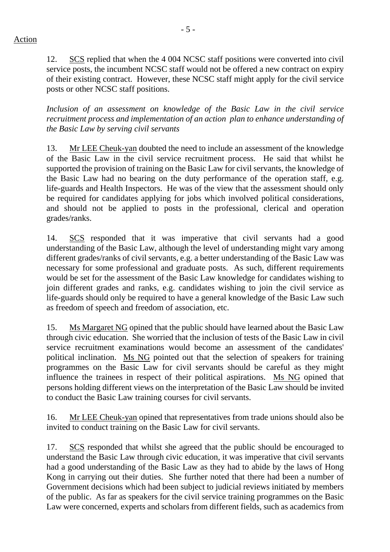12. SCS replied that when the 4 004 NCSC staff positions were converted into civil service posts, the incumbent NCSC staff would not be offered a new contract on expiry of their existing contract. However, these NCSC staff might apply for the civil service posts or other NCSC staff positions.

*Inclusion of an assessment on knowledge of the Basic Law in the civil service recruitment process and implementation of an action plan to enhance understanding of the Basic Law by serving civil servants* 

13. Mr LEE Cheuk-yan doubted the need to include an assessment of the knowledge of the Basic Law in the civil service recruitment process. He said that whilst he supported the provision of training on the Basic Law for civil servants, the knowledge of the Basic Law had no bearing on the duty performance of the operation staff, e.g. life-guards and Health Inspectors. He was of the view that the assessment should only be required for candidates applying for jobs which involved political considerations, and should not be applied to posts in the professional, clerical and operation grades/ranks.

14. SCS responded that it was imperative that civil servants had a good understanding of the Basic Law, although the level of understanding might vary among different grades/ranks of civil servants, e.g. a better understanding of the Basic Law was necessary for some professional and graduate posts. As such, different requirements would be set for the assessment of the Basic Law knowledge for candidates wishing to join different grades and ranks, e.g. candidates wishing to join the civil service as life-guards should only be required to have a general knowledge of the Basic Law such as freedom of speech and freedom of association, etc.

15. Ms Margaret NG opined that the public should have learned about the Basic Law through civic education. She worried that the inclusion of tests of the Basic Law in civil service recruitment examinations would become an assessment of the candidates' political inclination. Ms NG pointed out that the selection of speakers for training programmes on the Basic Law for civil servants should be careful as they might influence the trainees in respect of their political aspirations. Ms NG opined that persons holding different views on the interpretation of the Basic Law should be invited to conduct the Basic Law training courses for civil servants.

16. Mr LEE Cheuk-yan opined that representatives from trade unions should also be invited to conduct training on the Basic Law for civil servants.

17. SCS responded that whilst she agreed that the public should be encouraged to understand the Basic Law through civic education, it was imperative that civil servants had a good understanding of the Basic Law as they had to abide by the laws of Hong Kong in carrying out their duties. She further noted that there had been a number of Government decisions which had been subject to judicial reviews initiated by members of the public. As far as speakers for the civil service training programmes on the Basic Law were concerned, experts and scholars from different fields, such as academics from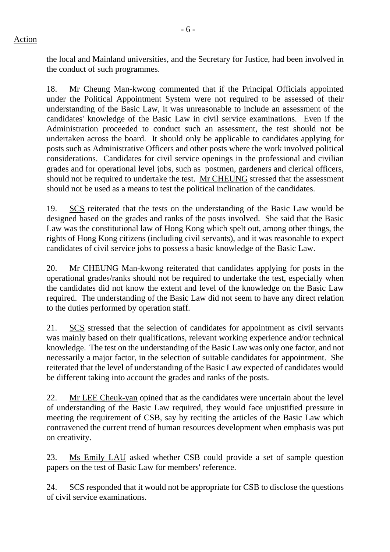the local and Mainland universities, and the Secretary for Justice, had been involved in the conduct of such programmes.

18. Mr Cheung Man-kwong commented that if the Principal Officials appointed under the Political Appointment System were not required to be assessed of their understanding of the Basic Law, it was unreasonable to include an assessment of the candidates' knowledge of the Basic Law in civil service examinations. Even if the Administration proceeded to conduct such an assessment, the test should not be undertaken across the board. It should only be applicable to candidates applying for posts such as Administrative Officers and other posts where the work involved political considerations. Candidates for civil service openings in the professional and civilian grades and for operational level jobs, such as postmen, gardeners and clerical officers, should not be required to undertake the test. Mr CHEUNG stressed that the assessment should not be used as a means to test the political inclination of the candidates.

19. SCS reiterated that the tests on the understanding of the Basic Law would be designed based on the grades and ranks of the posts involved. She said that the Basic Law was the constitutional law of Hong Kong which spelt out, among other things, the rights of Hong Kong citizens (including civil servants), and it was reasonable to expect candidates of civil service jobs to possess a basic knowledge of the Basic Law.

20. Mr CHEUNG Man-kwong reiterated that candidates applying for posts in the operational grades/ranks should not be required to undertake the test, especially when the candidates did not know the extent and level of the knowledge on the Basic Law required. The understanding of the Basic Law did not seem to have any direct relation to the duties performed by operation staff.

21. SCS stressed that the selection of candidates for appointment as civil servants was mainly based on their qualifications, relevant working experience and/or technical knowledge. The test on the understanding of the Basic Law was only one factor, and not necessarily a major factor, in the selection of suitable candidates for appointment. She reiterated that the level of understanding of the Basic Law expected of candidates would be different taking into account the grades and ranks of the posts.

22. Mr LEE Cheuk-yan opined that as the candidates were uncertain about the level of understanding of the Basic Law required, they would face unjustified pressure in meeting the requirement of CSB, say by reciting the articles of the Basic Law which contravened the current trend of human resources development when emphasis was put on creativity.

23. Ms Emily LAU asked whether CSB could provide a set of sample question papers on the test of Basic Law for members' reference.

24. SCS responded that it would not be appropriate for CSB to disclose the questions of civil service examinations.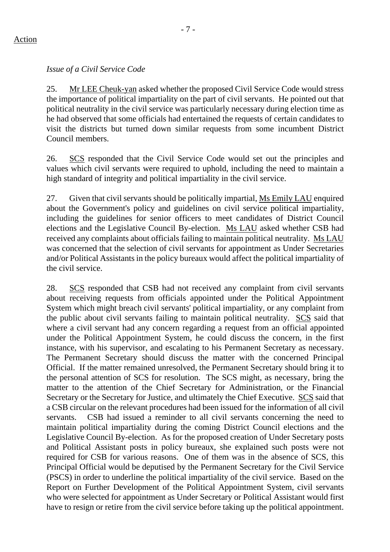### Action

*Issue of a Civil Service Code* 

25. Mr LEE Cheuk-yan asked whether the proposed Civil Service Code would stress the importance of political impartiality on the part of civil servants. He pointed out that political neutrality in the civil service was particularly necessary during election time as he had observed that some officials had entertained the requests of certain candidates to visit the districts but turned down similar requests from some incumbent District Council members.

26. SCS responded that the Civil Service Code would set out the principles and values which civil servants were required to uphold, including the need to maintain a high standard of integrity and political impartiality in the civil service.

27. Given that civil servants should be politically impartial, Ms Emily LAU enquired about the Government's policy and guidelines on civil service political impartiality, including the guidelines for senior officers to meet candidates of District Council elections and the Legislative Council By-election. Ms LAU asked whether CSB had received any complaints about officials failing to maintain political neutrality. Ms LAU was concerned that the selection of civil servants for appointment as Under Secretaries and/or Political Assistants in the policy bureaux would affect the political impartiality of the civil service.

28. SCS responded that CSB had not received any complaint from civil servants about receiving requests from officials appointed under the Political Appointment System which might breach civil servants' political impartiality, or any complaint from the public about civil servants failing to maintain political neutrality. SCS said that where a civil servant had any concern regarding a request from an official appointed under the Political Appointment System, he could discuss the concern, in the first instance, with his supervisor, and escalating to his Permanent Secretary as necessary. The Permanent Secretary should discuss the matter with the concerned Principal Official. If the matter remained unresolved, the Permanent Secretary should bring it to the personal attention of SCS for resolution. The SCS might, as necessary, bring the matter to the attention of the Chief Secretary for Administration, or the Financial Secretary or the Secretary for Justice, and ultimately the Chief Executive. SCS said that a CSB circular on the relevant procedures had been issued for the information of all civil servants. CSB had issued a reminder to all civil servants concerning the need to maintain political impartiality during the coming District Council elections and the Legislative Council By-election. As for the proposed creation of Under Secretary posts and Political Assistant posts in policy bureaux, she explained such posts were not required for CSB for various reasons. One of them was in the absence of SCS, this Principal Official would be deputised by the Permanent Secretary for the Civil Service (PSCS) in order to underline the political impartiality of the civil service. Based on the Report on Further Development of the Political Appointment System, civil servants who were selected for appointment as Under Secretary or Political Assistant would first have to resign or retire from the civil service before taking up the political appointment.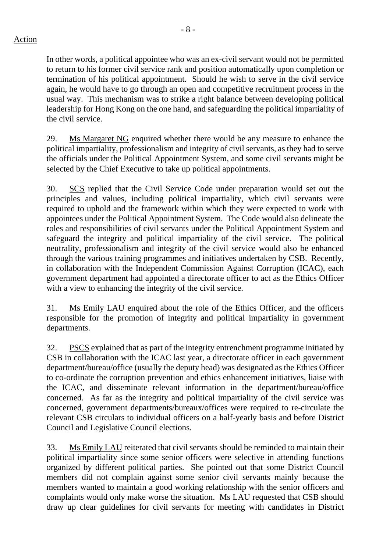- 8 -

In other words, a political appointee who was an ex-civil servant would not be permitted to return to his former civil service rank and position automatically upon completion or termination of his political appointment. Should he wish to serve in the civil service again, he would have to go through an open and competitive recruitment process in the usual way. This mechanism was to strike a right balance between developing political leadership for Hong Kong on the one hand, and safeguarding the political impartiality of the civil service.

29. Ms Margaret NG enquired whether there would be any measure to enhance the political impartiality, professionalism and integrity of civil servants, as they had to serve the officials under the Political Appointment System, and some civil servants might be selected by the Chief Executive to take up political appointments.

30. SCS replied that the Civil Service Code under preparation would set out the principles and values, including political impartiality, which civil servants were required to uphold and the framework within which they were expected to work with appointees under the Political Appointment System. The Code would also delineate the roles and responsibilities of civil servants under the Political Appointment System and safeguard the integrity and political impartiality of the civil service. The political neutrality, professionalism and integrity of the civil service would also be enhanced through the various training programmes and initiatives undertaken by CSB. Recently, in collaboration with the Independent Commission Against Corruption (ICAC), each government department had appointed a directorate officer to act as the Ethics Officer with a view to enhancing the integrity of the civil service.

31. Ms Emily LAU enquired about the role of the Ethics Officer, and the officers responsible for the promotion of integrity and political impartiality in government departments.

32. PSCS explained that as part of the integrity entrenchment programme initiated by CSB in collaboration with the ICAC last year, a directorate officer in each government department/bureau/office (usually the deputy head) was designated as the Ethics Officer to co-ordinate the corruption prevention and ethics enhancement initiatives, liaise with the ICAC, and disseminate relevant information in the department/bureau/office concerned. As far as the integrity and political impartiality of the civil service was concerned, government departments/bureaux/offices were required to re-circulate the relevant CSB circulars to individual officers on a half-yearly basis and before District Council and Legislative Council elections.

33. Ms Emily LAU reiterated that civil servants should be reminded to maintain their political impartiality since some senior officers were selective in attending functions organized by different political parties. She pointed out that some District Council members did not complain against some senior civil servants mainly because the members wanted to maintain a good working relationship with the senior officers and complaints would only make worse the situation. Ms LAU requested that CSB should draw up clear guidelines for civil servants for meeting with candidates in District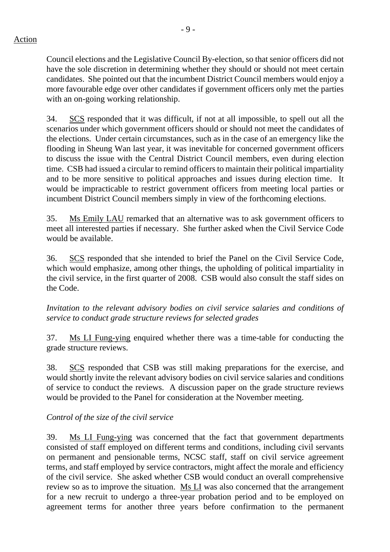$-9 -$ 

Council elections and the Legislative Council By-election, so that senior officers did not have the sole discretion in determining whether they should or should not meet certain candidates. She pointed out that the incumbent District Council members would enjoy a more favourable edge over other candidates if government officers only met the parties with an on-going working relationship.

34. SCS responded that it was difficult, if not at all impossible, to spell out all the scenarios under which government officers should or should not meet the candidates of the elections. Under certain circumstances, such as in the case of an emergency like the flooding in Sheung Wan last year, it was inevitable for concerned government officers to discuss the issue with the Central District Council members, even during election time. CSB had issued a circular to remind officers to maintain their political impartiality and to be more sensitive to political approaches and issues during election time. It would be impracticable to restrict government officers from meeting local parties or incumbent District Council members simply in view of the forthcoming elections.

35. Ms Emily LAU remarked that an alternative was to ask government officers to meet all interested parties if necessary. She further asked when the Civil Service Code would be available.

36. SCS responded that she intended to brief the Panel on the Civil Service Code, which would emphasize, among other things, the upholding of political impartiality in the civil service, in the first quarter of 2008. CSB would also consult the staff sides on the Code.

*Invitation to the relevant advisory bodies on civil service salaries and conditions of service to conduct grade structure reviews for selected grades* 

37. Ms LI Fung-ying enquired whether there was a time-table for conducting the grade structure reviews.

38. SCS responded that CSB was still making preparations for the exercise, and would shortly invite the relevant advisory bodies on civil service salaries and conditions of service to conduct the reviews. A discussion paper on the grade structure reviews would be provided to the Panel for consideration at the November meeting.

# *Control of the size of the civil service*

39. Ms LI Fung-ying was concerned that the fact that government departments consisted of staff employed on different terms and conditions, including civil servants on permanent and pensionable terms, NCSC staff, staff on civil service agreement terms, and staff employed by service contractors, might affect the morale and efficiency of the civil service. She asked whether CSB would conduct an overall comprehensive review so as to improve the situation. Ms LI was also concerned that the arrangement for a new recruit to undergo a three-year probation period and to be employed on agreement terms for another three years before confirmation to the permanent